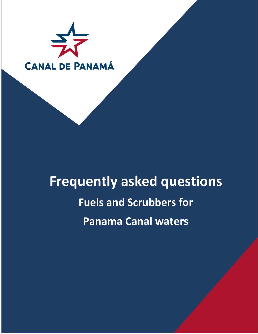

# **Frequently asked questions Fuels and Scrubbers for Panama Canal waters**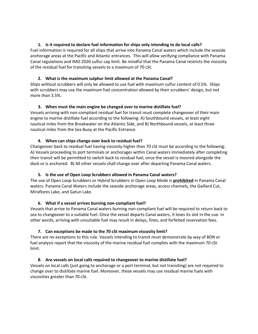# **1. Is it required to declare fuel information for ships only intending to do local calls?**

Fuel information is required for all ships that arrive into Panama Canal waters which include the seaside anchorage areas at the Pacific and Atlantic entrances. This will allow verifying compliance with Panama Canal regulations and IMO 2020 sulfur cap limit. Be mindful that the Panama Canal restricts the viscosity of the residual fuel for transiting vessels to a maximum of 70 cSt.

## **2. What is the maximum sulphur limit allowed at the Panama Canal?**

Ships without scrubbers will only be allowed to use fuel with maximum sulfur content of 0.5%. Ships with scrubbers may use the maximum fuel concentration allowed by their scrubbers' design, but not more than 3.5%.

## **3. When must the main engine be changed over to marine distillate fuel?**

Vessels arriving with non-compliant residual fuel for transit must complete changeover of their main engine to marine distillate fuel according to the following: A) Southbound vessels, at least eight nautical miles from the Breakwater on the Atlantic Side, and B) Northbound vessels, at least three nautical miles from the Sea Buoy at the Pacific Entrance.

#### **4. When can ships change over back to residual fuel?**

Changeover back to residual fuel having viscosity higher than 70 cSt must be according to the following: A) Vessels proceeding to port terminals or anchorages within Canal waters immediately after completing their transit will be permitted to switch back to residual fuel, once the vessel is moored alongside the dock or is anchored. B) All other vessels shall change over after departing Panama Canal waters.

#### **5. Is the use of Open Loop Scrubbers allowed in Panama Canal waters?**

The use of Open Loop Scrubbers or Hybrid Scrubbers in Open Loop Mode is **prohibited** in Panama Canal waters. Panama Canal Waters include the seaside anchorage areas, access channels, the Gaillard Cut, Miraflores Lake, and Gatun Lake.

#### **6. What if a vessel arrives burning non-compliant fuel?**

Vessels that arrive to Panama Canal waters burning non-compliant fuel will be required to return back to sea to changeover to a suitable fuel. Once the vessel departs Canal waters, it loses its slot in the cue. In other words, arriving with unsuitable fuel may result in delays, fines, and forfeited reservation fees.

# **7. Can exceptions be made to the 70 cSt maximum viscosity limit?**

There are no exceptions to this rule. Vessels intending to transit must demonstrate by way of BDN or fuel analysis report that the viscosity of the marine residual fuel complies with the maximum 70 cSt limit.

# **8. Are vessels on local calls required to changeover to marine distillate fuel?**

Vessels on local calls (just going to anchorage or a port terminal, but not transiting) are not required to change over to distillate marine fuel. Moreover, these vessels may use residual marine fuels with viscosities greater than 70 cSt.